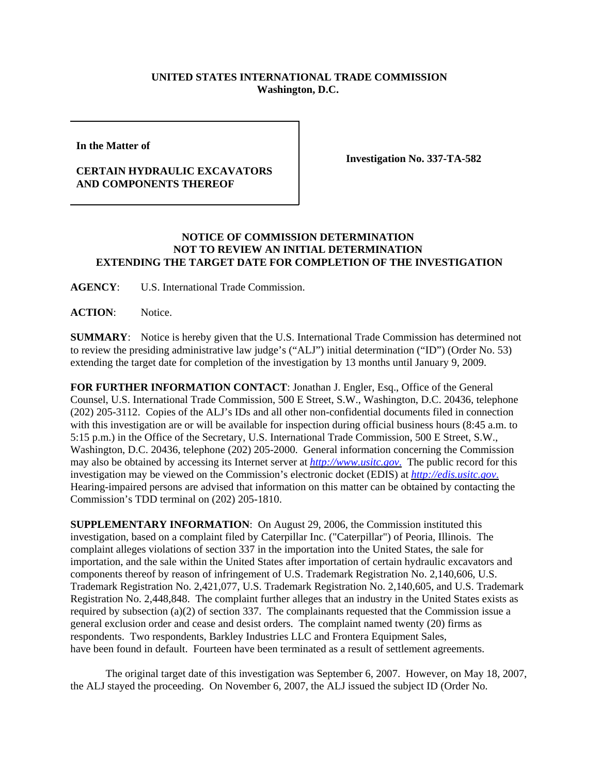## **UNITED STATES INTERNATIONAL TRADE COMMISSION Washington, D.C.**

**In the Matter of** 

## **CERTAIN HYDRAULIC EXCAVATORS AND COMPONENTS THEREOF**

**Investigation No. 337-TA-582**

## **NOTICE OF COMMISSION DETERMINATION NOT TO REVIEW AN INITIAL DETERMINATION EXTENDING THE TARGET DATE FOR COMPLETION OF THE INVESTIGATION**

**AGENCY**: U.S. International Trade Commission.

**ACTION**: Notice.

**SUMMARY**: Notice is hereby given that the U.S. International Trade Commission has determined not to review the presiding administrative law judge's ("ALJ") initial determination ("ID") (Order No. 53) extending the target date for completion of the investigation by 13 months until January 9, 2009.

**FOR FURTHER INFORMATION CONTACT**: Jonathan J. Engler, Esq., Office of the General Counsel, U.S. International Trade Commission, 500 E Street, S.W., Washington, D.C. 20436, telephone (202) 205-3112. Copies of the ALJ's IDs and all other non-confidential documents filed in connection with this investigation are or will be available for inspection during official business hours (8:45 a.m. to 5:15 p.m.) in the Office of the Secretary, U.S. International Trade Commission, 500 E Street, S.W., Washington, D.C. 20436, telephone (202) 205-2000. General information concerning the Commission may also be obtained by accessing its Internet server at *http://www.usitc.gov*. The public record for this investigation may be viewed on the Commission's electronic docket (EDIS) at *http://edis.usitc.gov*. Hearing-impaired persons are advised that information on this matter can be obtained by contacting the Commission's TDD terminal on (202) 205-1810.

**SUPPLEMENTARY INFORMATION**: On August 29, 2006, the Commission instituted this investigation, based on a complaint filed by Caterpillar Inc. ("Caterpillar") of Peoria, Illinois. The complaint alleges violations of section 337 in the importation into the United States, the sale for importation, and the sale within the United States after importation of certain hydraulic excavators and components thereof by reason of infringement of U.S. Trademark Registration No. 2,140,606, U.S. Trademark Registration No. 2,421,077, U.S. Trademark Registration No. 2,140,605, and U.S. Trademark Registration No. 2,448,848. The complaint further alleges that an industry in the United States exists as required by subsection (a)(2) of section 337. The complainants requested that the Commission issue a general exclusion order and cease and desist orders. The complaint named twenty (20) firms as respondents. Two respondents, Barkley Industries LLC and Frontera Equipment Sales, have been found in default. Fourteen have been terminated as a result of settlement agreements.

The original target date of this investigation was September 6, 2007. However, on May 18, 2007, the ALJ stayed the proceeding. On November 6, 2007, the ALJ issued the subject ID (Order No.